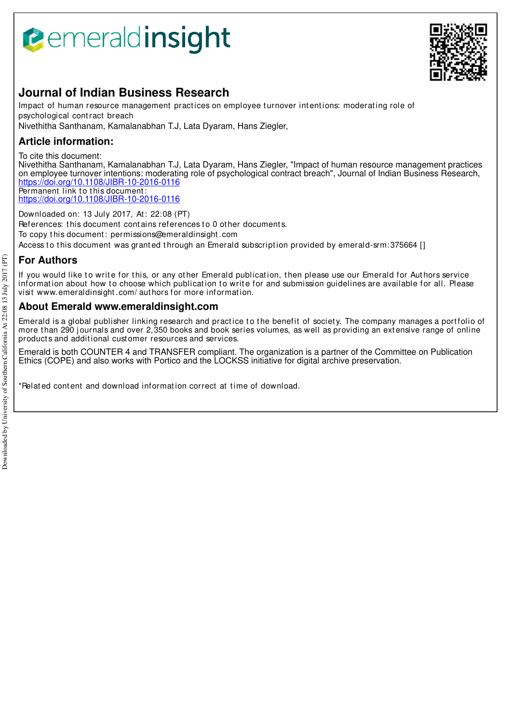# **B**emeraldinsight



# **Journal of Indian Business Research**

Impact of human resource management practices on employee turnover intentions: moderating role of psychological cont ract breach Nivethitha Santhanam, Kamalanabhan T.J, Lata Dyaram, Hans Ziegler,

# **Article information:**

To cite this document:

Nivethitha Santhanam, Kamalanabhan T.J, Lata Dyaram, Hans Ziegler, "Impact of human resource management practices on employee turnover intentions: moderating role of psychological contract breach", Journal of Indian Business Research, https://doi.org/10.1108/JIBR-10-2016-0116 Permanent link to this document:

https://doi.org/10.1108/JIBR-10-2016-0116

Downloaded on: 13 July 2017, At : 22:08 (PT) References: this document contains references to 0 other documents. To copy t his document : permissions@emeraldinsight .com Access to this document was granted through an Emerald subscription provided by emerald-srm:375664 []

# **For Authors**

If you would like to write for this, or any other Emerald publication, then please use our Emerald for Authors service information about how to choose which publication to write for and submission guidelines are available for all. Please visit www.emeraldinsight .com/ aut hors for more informat ion.

# **About Emerald www.emeraldinsight.com**

Emerald is a global publisher linking research and practice to the benefit of society. The company manages a portfolio of more than 290 journals and over 2,350 books and book series volumes, as well as providing an extensive range of online products and additional customer resources and services.

Emerald is both COUNTER 4 and TRANSFER compliant. The organization is a partner of the Committee on Publication Ethics (COPE) and also works with Portico and the LOCKSS initiative for digital archive preservation.

\*Relat ed cont ent and download informat ion correct at t ime of download.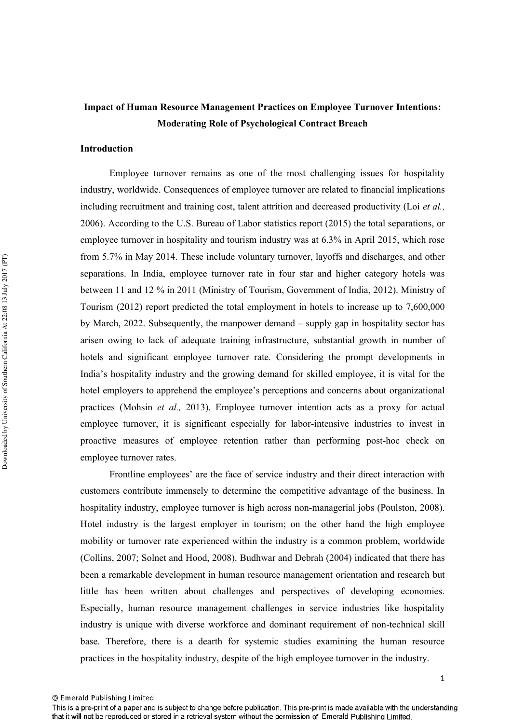# **Impact of Human Resource Management Practices on Employee Turnover Intentions: Moderating Role of Psychological Contract Breach**

# **Introduction**

Employee turnover remains as one of the most challenging issues for hospitality industry, worldwide. Consequences of employee turnover are related to financial implications including recruitment and training cost, talent attrition and decreased productivity (Loi *et al.*, 2006). According to the U.S. Bureau of Labor statistics report (2015) the total separations, or employee turnover in hospitality and tourism industry was at 6.3% in April 2015, which rose from 5.7% in May 2014. These include voluntary turnover, layoffs and discharges, and other separations. In India, employee turnover rate in four star and higher category hotels was between 11 and 12 % in 2011 (Ministry of Tourism, Government of India, 2012). Ministry of Tourism (2012) report predicted the total employment in hotels to increase up to 7,600,000 by March, 2022. Subsequently, the manpower demand – supply gap in hospitality sector has arisen owing to lack of adequate training infrastructure, substantial growth in number of hotels and significant employee turnover rate. Considering the prompt developments in India's hospitality industry and the growing demand for skilled employee, it is vital for the hotel employers to apprehend the employee's perceptions and concerns about organizational practices (Mohsin *et al.*, 2013). Employee turnover intention acts as a proxy for actual employee turnover, it is significant especially for labor-intensive industries to invest in proactive measures of employee retention rather than performing post-hoc check on employee turnover rates.

Frontline employees' are the face of service industry and their direct interaction with customers contribute immensely to determine the competitive advantage of the business. In hospitality industry, employee turnover is high across non-managerial jobs (Poulston, 2008). Hotel industry is the largest employer in tourism; on the other hand the high employee mobility or turnover rate experienced within the industry is a common problem, worldwide (Collins, 2007; Solnet and Hood, 2008). Budhwar and Debrah (2004) indicated that there has been a remarkable development in human resource management orientation and research but little has been written about challenges and perspectives of developing economies. Especially, human resource management challenges in service industries like hospitality industry is unique with diverse workforce and dominant requirement of non-technical skill base. Therefore, there is a dearth for systemic studies examining the human resource practices in the hospitality industry, despite of the high employee turnover in the industry.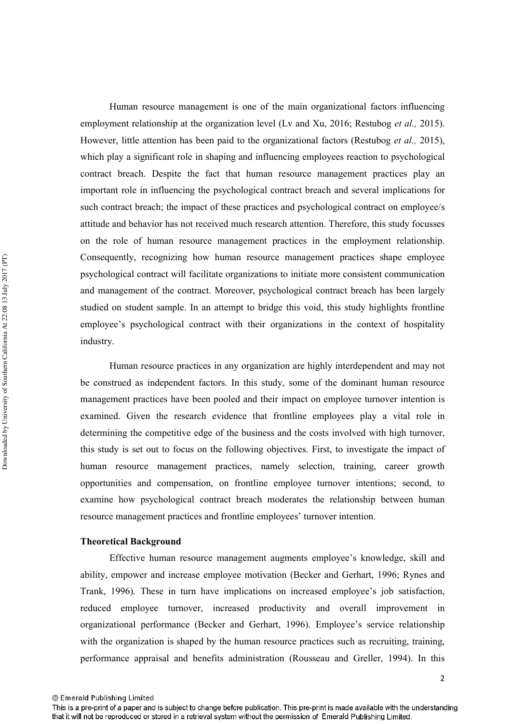Human resource management is one of the main organizational factors influencing employment relationship at the organization level (Lv and Xu, 2016; Restubog et al., 2015). However, little attention has been paid to the organizational factors (Restubog et al., 2015), which play a significant role in shaping and influencing employees reaction to psychological contract breach. Despite the fact that human resource management practices play an important role in influencing the psychological contract breach and several implications for such contract breach; the impact of these practices and psychological contract on employee/s attitude and behavior has not received much research attention. Therefore, this study focusses on the role of human resource management practices in the employment relationship. Consequently, recognizing how human resource management practices shape employee psychological contract will facilitate organizations to initiate more consistent communication and management of the contract. Moreover, psychological contract breach has been largely studied on student sample. In an attempt to bridge this void, this study highlights frontline employee's psychological contract with their organizations in the context of hospitality industry.

Human resource practices in any organization are highly interdependent and may not be construed as independent factors. In this study, some of the dominant human resource management practices have been pooled and their impact on employee turnover intention is examined. Given the research evidence that frontline employees play a vital role in determining the competitive edge of the business and the costs involved with high turnover, this study is set out to focus on the following objectives. First, to investigate the impact of human resource management practices, namely selection, training, career growth opportunities and compensation, on frontline employee turnover intentions; second, to examine how psychological contract breach moderates the relationship between human resource management practices and frontline employees' turnover intention.

# **Theoretical Background**

Effective human resource management augments employee's knowledge, skill and ability, empower and increase employee motivation (Becker and Gerhart, 1996; Rynes and Trank, 1996). These in turn have implications on increased employee's job satisfaction, reduced employee turnover, increased productivity and overall improvement in organizational performance (Becker and Gerhart, 1996). Employee's service relationship with the organization is shaped by the human resource practices such as recruiting, training, performance appraisal and benefits administration (Rousseau and Greller, 1994). In this

This is a pre-print of a paper and is subject to change before publication. This pre-print is made available with the understanding that it will not be reproduced or stored in a retrieval system without the permission of Emerald Publishing Limited.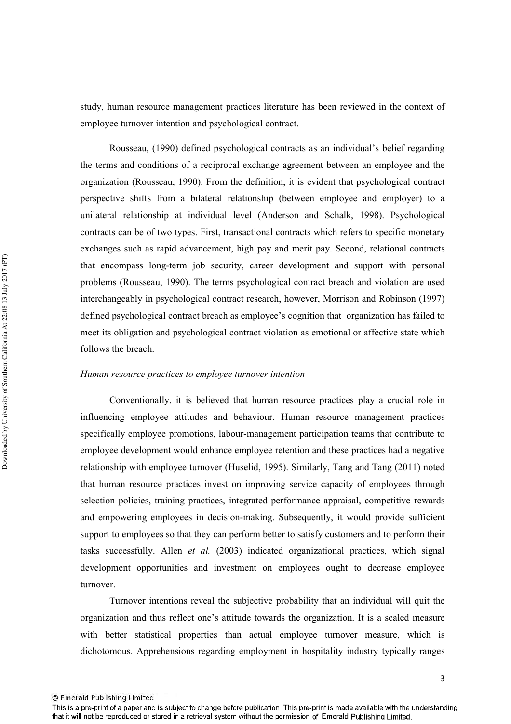study, human resource management practices literature has been reviewed in the context of employee turnover intention and psychological contract.

Rousseau, (1990) defined psychological contracts as an individual's belief regarding the terms and conditions of a reciprocal exchange agreement between an employee and the organization (Rousseau, 1990). From the definition, it is evident that psychological contract perspective shifts from a bilateral relationship (between employee and employer) to a unilateral relationship at individual level (Anderson and Schalk, 1998). Psychological contracts can be of two types. First, transactional contracts which refers to specific monetary exchanges such as rapid advancement, high pay and merit pay. Second, relational contracts that encompass long-term job security, career development and support with personal problems (Rousseau, 1990). The terms psychological contract breach and violation are used interchangeably in psychological contract research, however, Morrison and Robinson (1997) defined psychological contract breach as employee's cognition that organization has failed to meet its obligation and psychological contract violation as emotional or affective state which follows the breach

#### Human resource practices to employee turnover intention

Conventionally, it is believed that human resource practices play a crucial role in influencing employee attitudes and behaviour. Human resource management practices specifically employee promotions, labour-management participation teams that contribute to employee development would enhance employee retention and these practices had a negative relationship with employee turnover (Huselid, 1995). Similarly, Tang and Tang (2011) noted that human resource practices invest on improving service capacity of employees through selection policies, training practices, integrated performance appraisal, competitive rewards and empowering employees in decision-making. Subsequently, it would provide sufficient support to employees so that they can perform better to satisfy customers and to perform their tasks successfully. Allen et al. (2003) indicated organizational practices, which signal development opportunities and investment on employees ought to decrease employee turnover

Turnover intentions reveal the subjective probability that an individual will quit the organization and thus reflect one's attitude towards the organization. It is a scaled measure with better statistical properties than actual employee turnover measure, which is dichotomous. Apprehensions regarding employment in hospitality industry typically ranges

© Emerald Publishing Limited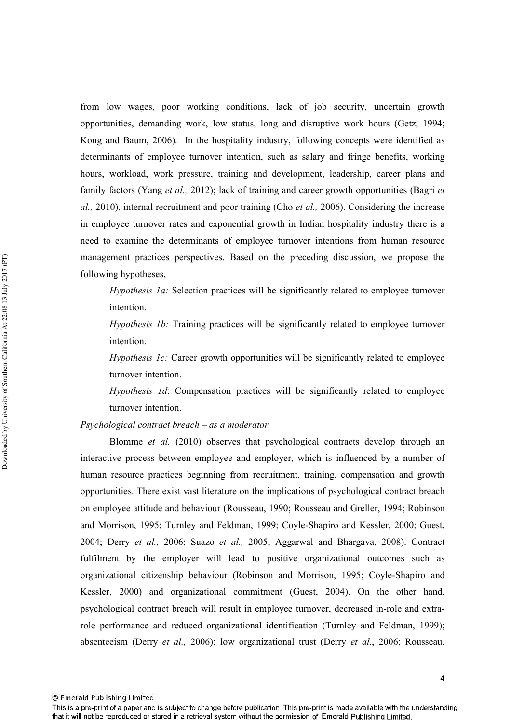from low wages, poor working conditions, lack of job security, uncertain growth opportunities, demanding work, low status, long and disruptive work hours (Getz, 1994; Kong and Baum, 2006). In the hospitality industry, following concepts were identified as determinants of employee turnover intention, such as salary and fringe benefits, working hours, workload, work pressure, training and development, leadership, career plans and family factors (Yang et al., 2012); lack of training and career growth opportunities (Bagri et al., 2010), internal recruitment and poor training (Cho et al., 2006). Considering the increase in employee turnover rates and exponential growth in Indian hospitality industry there is a need to examine the determinants of employee turnover intentions from human resource management practices perspectives. Based on the preceding discussion, we propose the following hypotheses,

*Hypothesis 1a:* Selection practices will be significantly related to employee turnover intention

*Hypothesis 1b:* Training practices will be significantly related to employee turnover intention.

*Hypothesis 1c:* Career growth opportunities will be significantly related to employee turnover intention.

*Hypothesis 1d:* Compensation practices will be significantly related to employee turnover intention.

# Psychological contract breach  $-$  as a moderator

Blomme et al. (2010) observes that psychological contracts develop through an interactive process between employee and employer, which is influenced by a number of human resource practices beginning from recruitment, training, compensation and growth opportunities. There exist vast literature on the implications of psychological contract breach on employee attitude and behaviour (Rousseau, 1990; Rousseau and Greller, 1994; Robinson and Morrison, 1995; Turnley and Feldman, 1999; Coyle-Shapiro and Kessler, 2000; Guest, 2004; Derry et al., 2006; Suazo et al., 2005; Aggarwal and Bhargaya, 2008). Contract fulfilment by the employer will lead to positive organizational outcomes such as organizational citizenship behaviour (Robinson and Morrison, 1995; Coyle-Shapiro and Kessler, 2000) and organizational commitment (Guest, 2004). On the other hand, psychological contract breach will result in employee turnover, decreased in-role and extrarole performance and reduced organizational identification (Turnley and Feldman, 1999); absenteeism (Derry et al., 2006); low organizational trust (Derry et al., 2006; Rousseau,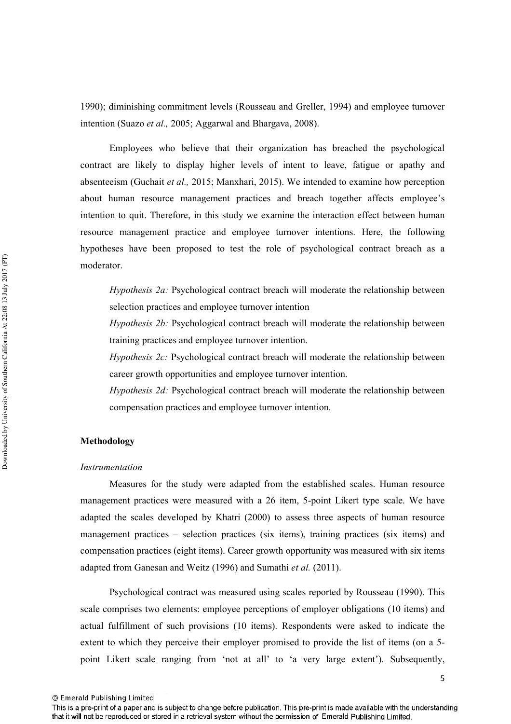1990); diminishing commitment levels (Rousseau and Greller, 1994) and employee turnover intention (Suazo et al., 2005; Aggarwal and Bhargava, 2008).

Employees who believe that their organization has breached the psychological contract are likely to display higher levels of intent to leave, fatigue or apathy and absenteeism (Guchait et al., 2015; Manxhari, 2015). We intended to examine how perception about human resource management practices and breach together affects employee's intention to quit. Therefore, in this study we examine the interaction effect between human resource management practice and employee turnover intentions. Here, the following hypotheses have been proposed to test the role of psychological contract breach as a moderator.

*Hypothesis 2a:* Psychological contract breach will moderate the relationship between selection practices and employee turnover intention

*Hypothesis 2b:* Psychological contract breach will moderate the relationship between training practices and employee turnover intention.

*Hypothesis 2c:* Psychological contract breach will moderate the relationship between career growth opportunities and employee turnover intention.

*Hypothesis 2d:* Psychological contract breach will moderate the relationship between compensation practices and employee turnover intention.

## Methodology

#### Instrumentation

Measures for the study were adapted from the established scales. Human resource management practices were measured with a 26 item, 5-point Likert type scale. We have adapted the scales developed by Khatri (2000) to assess three aspects of human resource management practices – selection practices (six items), training practices (six items) and compensation practices (eight items). Career growth opportunity was measured with six items adapted from Ganesan and Weitz (1996) and Sumathi et al. (2011).

Psychological contract was measured using scales reported by Rousseau (1990). This scale comprises two elements: employee perceptions of employer obligations (10 items) and actual fulfillment of such provisions (10 items). Respondents were asked to indicate the extent to which they perceive their employer promised to provide the list of items (on a 5point Likert scale ranging from 'not at all' to 'a very large extent'). Subsequently,

This is a pre-print of a paper and is subject to change before publication. This pre-print is made available with the understanding that it will not be reproduced or stored in a retrieval system without the permission of Emerald Publishing Limited.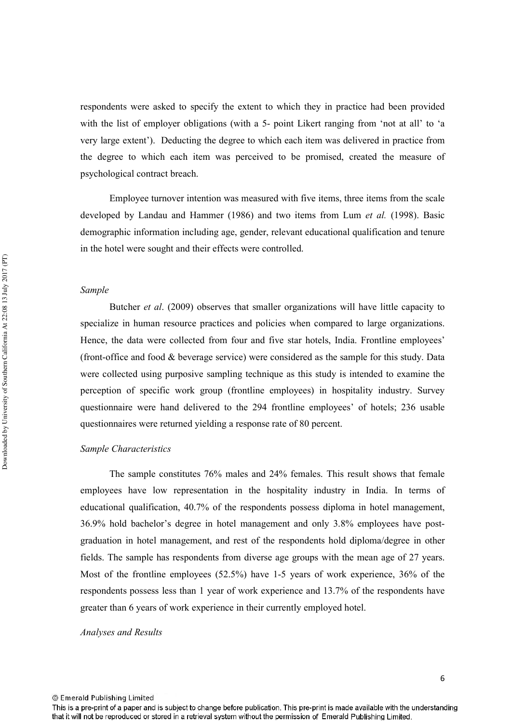respondents were asked to specify the extent to which they in practice had been provided with the list of employer obligations (with a 5- point Likert ranging from 'not at all' to 'a very large extent'). Deducting the degree to which each item was delivered in practice from the degree to which each item was perceived to be promised, created the measure of psychological contract breach.

Employee turnover intention was measured with five items, three items from the scale developed by Landau and Hammer (1986) and two items from Lum et al. (1998). Basic demographic information including age, gender, relevant educational qualification and tenure in the hotel were sought and their effects were controlled.

## Sample

Butcher et al. (2009) observes that smaller organizations will have little capacity to specialize in human resource practices and policies when compared to large organizations. Hence, the data were collected from four and five star hotels, India. Frontline employees' (front-office and food & beverage service) were considered as the sample for this study. Data were collected using purposive sampling technique as this study is intended to examine the perception of specific work group (frontline employees) in hospitality industry. Survey questionnaire were hand delivered to the 294 frontline employees' of hotels; 236 usable questionnaires were returned yielding a response rate of 80 percent.

## Sample Characteristics

The sample constitutes 76% males and 24% females. This result shows that female employees have low representation in the hospitality industry in India. In terms of educational qualification, 40.7% of the respondents possess diploma in hotel management, 36.9% hold bachelor's degree in hotel management and only 3.8% employees have postgraduation in hotel management, and rest of the respondents hold diploma/degree in other fields. The sample has respondents from diverse age groups with the mean age of 27 years. Most of the frontline employees  $(52.5\%)$  have 1-5 years of work experience, 36% of the respondents possess less than 1 year of work experience and 13.7% of the respondents have greater than 6 years of work experience in their currently employed hotel.

#### **Analyses and Results**

This is a pre-print of a paper and is subject to change before publication. This pre-print is made available with the understanding that it will not be reproduced or stored in a retrieval system without the permission of Emerald Publishing Limited.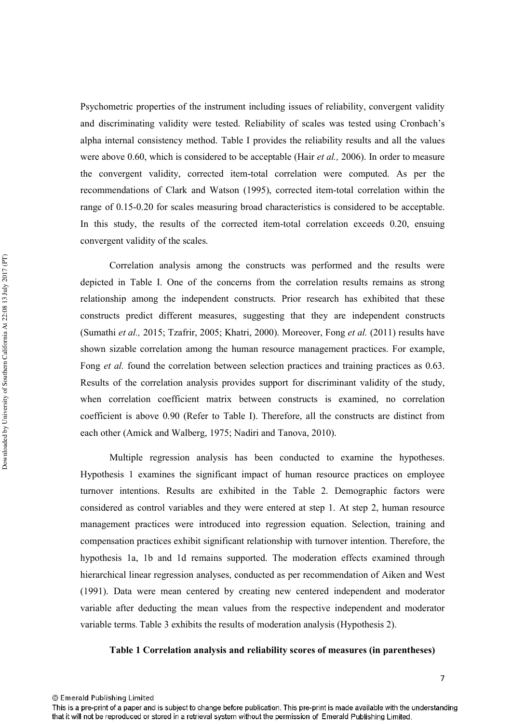Psychometric properties of the instrument including issues of reliability, convergent validity and discriminating validity were tested. Reliability of scales was tested using Cronbach's alpha internal consistency method. Table I provides the reliability results and all the values were above 0.60, which is considered to be acceptable (Hair *et al.*, 2006). In order to measure the convergent validity, corrected item-total correlation were computed. As per the recommendations of Clark and Watson (1995), corrected item-total correlation within the range of 0.15-0.20 for scales measuring broad characteristics is considered to be acceptable. In this study, the results of the corrected item-total correlation exceeds 0.20, ensuing convergent validity of the scales.

Correlation analysis among the constructs was performed and the results were depicted in Table I. One of the concerns from the correlation results remains as strong relationship among the independent constructs. Prior research has exhibited that these constructs predict different measures, suggesting that they are independent constructs (Sumathi et al., 2015; Tzafrir, 2005; Khatri, 2000). Moreover, Fong et al. (2011) results have shown sizable correlation among the human resource management practices. For example, Fong et al. found the correlation between selection practices and training practices as 0.63. Results of the correlation analysis provides support for discriminant validity of the study, when correlation coefficient matrix between constructs is examined, no correlation coefficient is above 0.90 (Refer to Table I). Therefore, all the constructs are distinct from each other (Amick and Walberg, 1975; Nadiri and Tanova, 2010).

Multiple regression analysis has been conducted to examine the hypotheses. Hypothesis 1 examines the significant impact of human resource practices on employee turnover intentions. Results are exhibited in the Table 2. Demographic factors were considered as control variables and they were entered at step 1. At step 2, human resource management practices were introduced into regression equation. Selection, training and compensation practices exhibit significant relationship with turnover intention. Therefore, the hypothesis 1a, 1b and 1d remains supported. The moderation effects examined through hierarchical linear regression analyses, conducted as per recommendation of Aiken and West (1991). Data were mean centered by creating new centered independent and moderator variable after deducting the mean values from the respective independent and moderator variable terms. Table 3 exhibits the results of moderation analysis (Hypothesis 2).

## Table 1 Correlation analysis and reliability scores of measures (in parentheses)

This is a pre-print of a paper and is subject to change before publication. This pre-print is made available with the understanding that it will not be reproduced or stored in a retrieval system without the permission of Emerald Publishing Limited.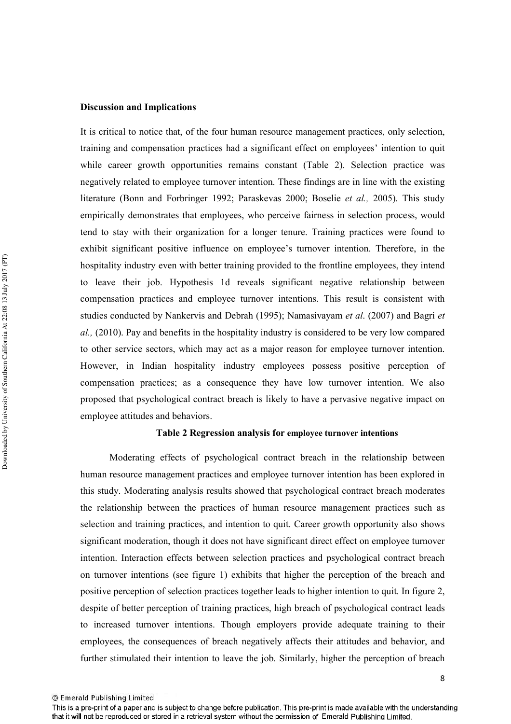#### **Discussion and Implications**

It is critical to notice that, of the four human resource management practices, only selection, training and compensation practices had a significant effect on employees' intention to quit while career growth opportunities remains constant (Table 2). Selection practice was negatively related to employee turnover intention. These findings are in line with the existing literature (Bonn and Forbringer 1992; Paraskevas 2000; Boselie et al., 2005). This study empirically demonstrates that employees, who perceive fairness in selection process, would tend to stay with their organization for a longer tenure. Training practices were found to exhibit significant positive influence on employee's turnover intention. Therefore, in the hospitality industry even with better training provided to the frontline employees, they intend to leave their job. Hypothesis 1d reveals significant negative relationship between compensation practices and employee turnover intentions. This result is consistent with studies conducted by Nankervis and Debrah (1995): Namasiyayam et al. (2007) and Bagri et al., (2010). Pay and benefits in the hospitality industry is considered to be very low compared to other service sectors, which may act as a major reason for employee turnover intention. However, in Indian hospitality industry employees possess positive perception of compensation practices; as a consequence they have low turnover intention. We also proposed that psychological contract breach is likely to have a pervasive negative impact on employee attitudes and behaviors.

## Table 2 Regression analysis for employee turnover intentions

Moderating effects of psychological contract breach in the relationship between human resource management practices and employee turnover intention has been explored in this study. Moderating analysis results showed that psychological contract breach moderates the relationship between the practices of human resource management practices such as selection and training practices, and intention to quit. Career growth opportunity also shows significant moderation, though it does not have significant direct effect on employee turnover intention. Interaction effects between selection practices and psychological contract breach on turnover intentions (see figure 1) exhibits that higher the perception of the breach and positive perception of selection practices together leads to higher intention to quit. In figure 2, despite of better perception of training practices, high breach of psychological contract leads to increased turnover intentions. Though employers provide adequate training to their employees, the consequences of breach negatively affects their attitudes and behavior, and further stimulated their intention to leave the job. Similarly, higher the perception of breach

This is a pre-print of a paper and is subject to change before publication. This pre-print is made available with the understanding that it will not be reproduced or stored in a retrieval system without the permission of Emerald Publishing Limited.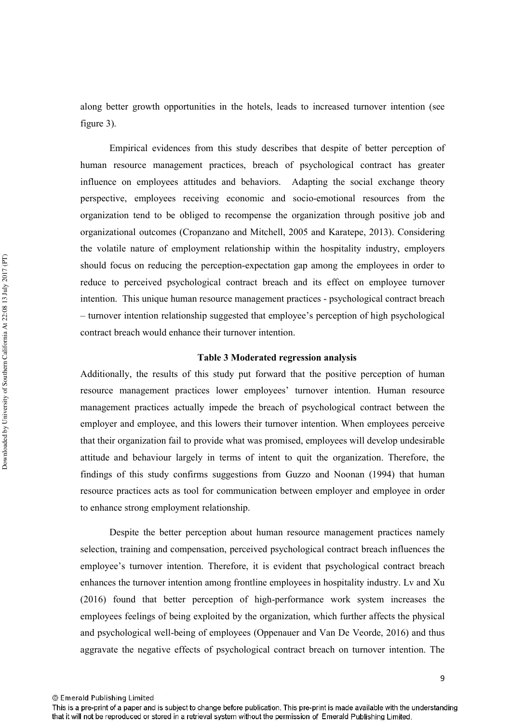along better growth opportunities in the hotels, leads to increased turnover intention (see figure 3).

Empirical evidences from this study describes that despite of better perception of human resource management practices, breach of psychological contract has greater influence on employees attitudes and behaviors. Adapting the social exchange theory perspective, employees receiving economic and socio-emotional resources from the organization tend to be obliged to recompense the organization through positive job and organizational outcomes (Cropanzano and Mitchell, 2005 and Karatepe, 2013). Considering the volatile nature of employment relationship within the hospitality industry, employers should focus on reducing the perception-expectation gap among the employees in order to reduce to perceived psychological contract breach and its effect on employee turnover intention. This unique human resource management practices - psychological contract breach - turnover intention relationship suggested that employee's perception of high psychological contract breach would enhance their turnover intention.

#### **Table 3 Moderated regression analysis**

Additionally, the results of this study put forward that the positive perception of human resource management practices lower employees' turnover intention. Human resource management practices actually impede the breach of psychological contract between the employer and employee, and this lowers their turnover intention. When employees perceive that their organization fail to provide what was promised, employees will develop undesirable attitude and behaviour largely in terms of intent to quit the organization. Therefore, the findings of this study confirms suggestions from Guzzo and Noonan (1994) that human resource practices acts as tool for communication between employer and employee in order to enhance strong employment relationship.

Despite the better perception about human resource management practices namely selection, training and compensation, perceived psychological contract breach influences the employee's turnover intention. Therefore, it is evident that psychological contract breach enhances the turnover intention among frontline employees in hospitality industry. Lv and Xu (2016) found that better perception of high-performance work system increases the employees feelings of being exploited by the organization, which further affects the physical and psychological well-being of employees (Oppenauer and Van De Veorde, 2016) and thus aggravate the negative effects of psychological contract breach on turnover intention. The

© Emerald Publishing Limited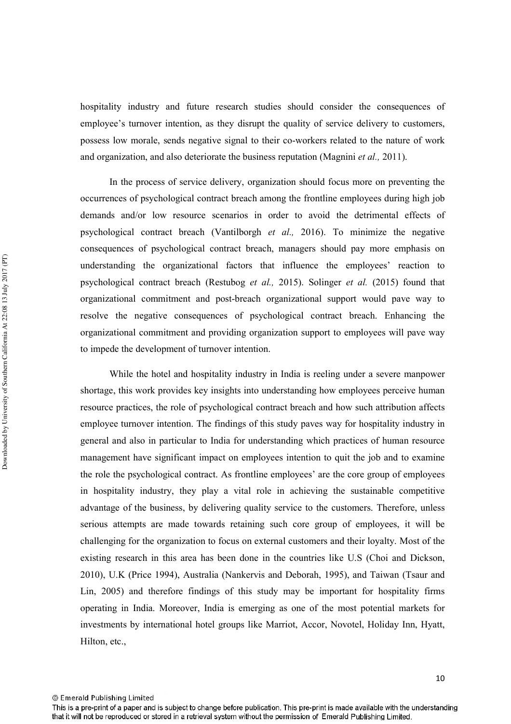hospitality industry and future research studies should consider the consequences of employee's turnover intention, as they disrupt the quality of service delivery to customers. possess low morale, sends negative signal to their co-workers related to the nature of work and organization, and also deteriorate the business reputation (Magnini *et al.*, 2011).

In the process of service delivery, organization should focus more on preventing the occurrences of psychological contract breach among the frontline employees during high job demands and/or low resource scenarios in order to avoid the detrimental effects of psychological contract breach (Vantilborgh et al., 2016). To minimize the negative consequences of psychological contract breach, managers should pay more emphasis on understanding the organizational factors that influence the employees' reaction to psychological contract breach (Restubog et al., 2015). Solinger et al. (2015) found that organizational commitment and post-breach organizational support would pave way to resolve the negative consequences of psychological contract breach. Enhancing the organizational commitment and providing organization support to employees will pave way to impede the development of turnover intention.

While the hotel and hospitality industry in India is reeling under a severe manpower shortage, this work provides key insights into understanding how employees perceive human resource practices, the role of psychological contract breach and how such attribution affects employee turnover intention. The findings of this study paves way for hospitality industry in general and also in particular to India for understanding which practices of human resource management have significant impact on employees intention to quit the job and to examine the role the psychological contract. As frontline employees' are the core group of employees in hospitality industry, they play a vital role in achieving the sustainable competitive advantage of the business, by delivering quality service to the customers. Therefore, unless serious attempts are made towards retaining such core group of employees, it will be challenging for the organization to focus on external customers and their loyalty. Most of the existing research in this area has been done in the countries like U.S (Choi and Dickson, 2010), U.K (Price 1994), Australia (Nankervis and Deborah, 1995), and Taiwan (Tsaur and Lin, 2005) and therefore findings of this study may be important for hospitality firms operating in India. Moreover, India is emerging as one of the most potential markets for investments by international hotel groups like Marriot, Accor, Novotel, Holiday Inn, Hyatt, Hilton, etc.,

This is a pre-print of a paper and is subject to change before publication. This pre-print is made available with the understanding that it will not be reproduced or stored in a retrieval system without the permission of Emerald Publishing Limited.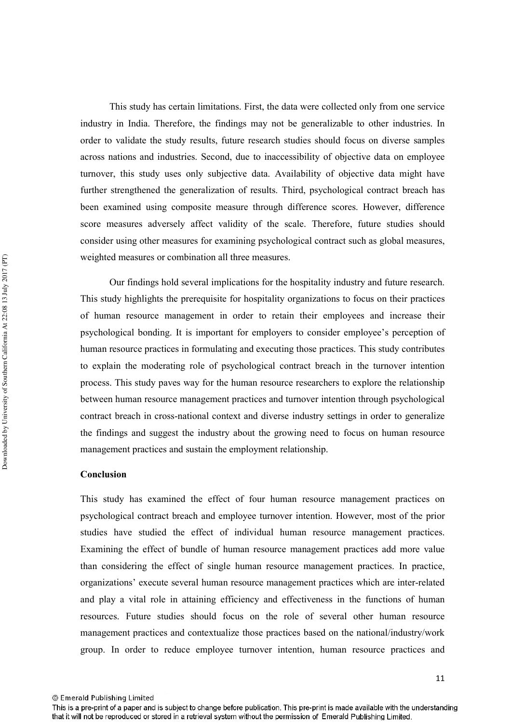This study has certain limitations. First, the data were collected only from one service industry in India. Therefore, the findings may not be generalizable to other industries. In order to validate the study results, future research studies should focus on diverse samples across nations and industries. Second, due to inaccessibility of objective data on employee turnover, this study uses only subjective data. Availability of objective data might have further strengthened the generalization of results. Third, psychological contract breach has been examined using composite measure through difference scores. However, difference score measures adversely affect validity of the scale. Therefore, future studies should consider using other measures for examining psychological contract such as global measures. weighted measures or combination all three measures.

Our findings hold several implications for the hospitality industry and future research. This study highlights the prerequisite for hospitality organizations to focus on their practices of human resource management in order to retain their employees and increase their psychological bonding. It is important for employers to consider employee's perception of human resource practices in formulating and executing those practices. This study contributes to explain the moderating role of psychological contract breach in the turnover intention process. This study paves way for the human resource researchers to explore the relationship between human resource management practices and turnover intention through psychological contract breach in cross-national context and diverse industry settings in order to generalize the findings and suggest the industry about the growing need to focus on human resource management practices and sustain the employment relationship.

# Conclusion

This study has examined the effect of four human resource management practices on psychological contract breach and employee turnover intention. However, most of the prior studies have studied the effect of individual human resource management practices. Examining the effect of bundle of human resource management practices add more value than considering the effect of single human resource management practices. In practice, organizations' execute several human resource management practices which are inter-related and play a vital role in attaining efficiency and effectiveness in the functions of human resources. Future studies should focus on the role of several other human resource management practices and contextualize those practices based on the national/industry/work group. In order to reduce employee turnover intention, human resource practices and

© Emerald Publishing Limited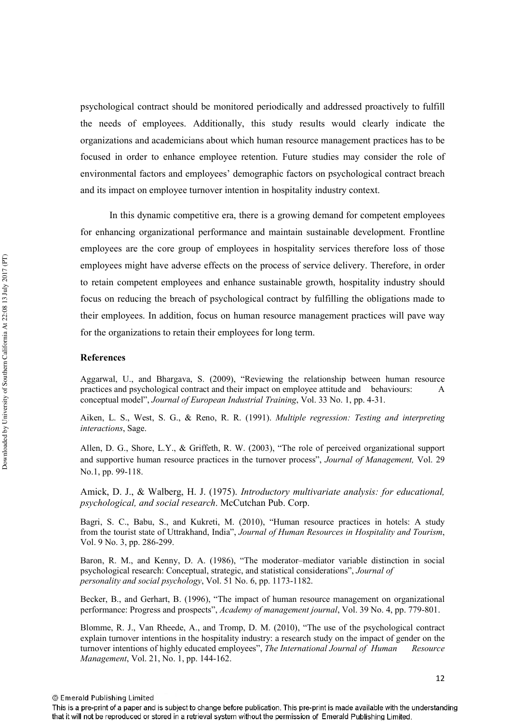psychological contract should be monitored periodically and addressed proactively to fulfill the needs of employees. Additionally, this study results would clearly indicate the organizations and academicians about which human resource management practices has to be focused in order to enhance employee retention. Future studies may consider the role of environmental factors and employees' demographic factors on psychological contract breach and its impact on employee turnover intention in hospitality industry context.

In this dynamic competitive era, there is a growing demand for competent employees for enhancing organizational performance and maintain sustainable development. Frontline employees are the core group of employees in hospitality services therefore loss of those employees might have adverse effects on the process of service delivery. Therefore, in order to retain competent employees and enhance sustainable growth, hospitality industry should focus on reducing the breach of psychological contract by fulfilling the obligations made to their employees. In addition, focus on human resource management practices will paye way for the organizations to retain their employees for long term.

#### **References**

Aggarwal, U., and Bhargava, S. (2009), "Reviewing the relationship between human resource practices and psychological contract and their impact on employee attitude and behaviours: A conceptual model", Journal of European Industrial Training, Vol. 33 No. 1, pp. 4-31.

Aiken, L. S., West, S. G., & Reno, R. R. (1991). Multiple regression: Testing and interpreting interactions, Sage.

Allen, D. G., Shore, L.Y., & Griffeth, R. W. (2003), "The role of perceived organizational support and supportive human resource practices in the turnover process", Journal of Management, Vol. 29 No.1, pp. 99-118.

Amick, D. J., & Walberg, H. J. (1975). Introductory multivariate analysis: for educational, psychological, and social research. McCutchan Pub. Corp.

Bagri, S. C., Babu, S., and Kukreti, M. (2010), "Human resource practices in hotels: A study from the tourist state of Uttrakhand, India", Journal of Human Resources in Hospitality and Tourism, Vol. 9 No. 3, pp. 286-299.

Baron, R. M., and Kenny, D. A. (1986), "The moderator-mediator variable distinction in social psychological research: Conceptual, strategic, and statistical considerations", Journal of personality and social psychology, Vol. 51 No. 6, pp. 1173-1182.

Becker, B., and Gerhart, B. (1996), "The impact of human resource management on organizational performance: Progress and prospects", Academy of management journal, Vol. 39 No. 4, pp. 779-801.

Blomme, R. J., Van Rheede, A., and Tromp, D. M. (2010), "The use of the psychological contract explain turnover intentions in the hospitality industry: a research study on the impact of gender on the turnover intentions of highly educated employees", The International Journal of Human Resource Management, Vol. 21, No. 1, pp. 144-162.

© Emerald Publishing Limited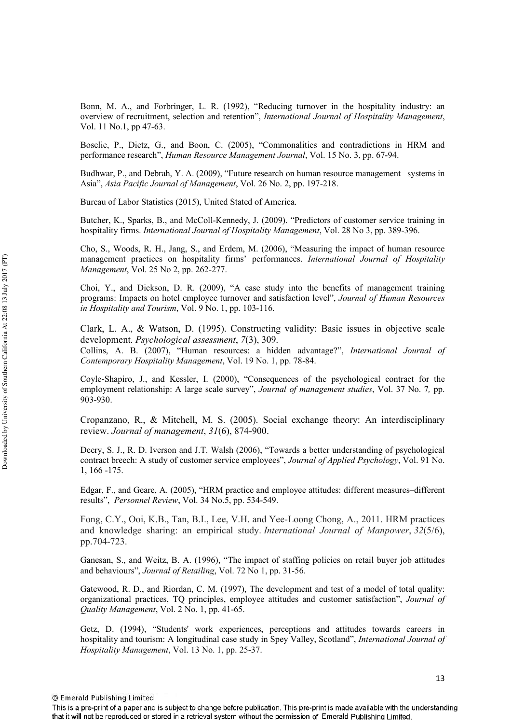Bonn, M. A., and Forbringer, L. R. (1992), "Reducing turnover in the hospitality industry: an overview of recruitment, selection and retention", International Journal of Hospitality Management, Vol. 11 No.1, pp 47-63.

Boselie, P., Dietz, G., and Boon, C. (2005), "Commonalities and contradictions in HRM and performance research", Human Resource Management Journal, Vol. 15 No. 3, pp. 67-94.

Budhwar, P., and Debrah, Y. A. (2009), "Future research on human resource management systems in Asia", Asia Pacific Journal of Management, Vol. 26 No. 2, pp. 197-218.

Bureau of Labor Statistics (2015), United Stated of America.

Butcher, K., Sparks, B., and McColl-Kennedy, J. (2009). "Predictors of customer service training in hospitality firms. International Journal of Hospitality Management, Vol. 28 No 3, pp. 389-396.

Cho, S., Woods, R. H., Jang, S., and Erdem, M. (2006), "Measuring the impact of human resource management practices on hospitality firms' performances. International Journal of Hospitality Management, Vol. 25 No 2, pp. 262-277.

Choi, Y., and Dickson, D. R. (2009), "A case study into the benefits of management training programs: Impacts on hotel employee turnover and satisfaction level", Journal of Human Resources in Hospitality and Tourism, Vol. 9 No. 1, pp. 103-116.

Clark, L. A., & Watson, D. (1995). Constructing validity: Basic issues in objective scale development. *Psychological assessment*, 7(3), 309.

Collins, A. B. (2007), "Human resources: a hidden advantage?", International Journal of Contemporary Hospitality Management, Vol. 19 No. 1, pp. 78-84.

Coyle-Shapiro, J., and Kessler, I. (2000), "Consequences of the psychological contract for the employment relationship: A large scale survey", Journal of management studies, Vol. 37 No. 7, pp. 903-930.

Cropanzano, R., & Mitchell, M. S. (2005). Social exchange theory: An interdisciplinary review. Journal of management, 31(6), 874-900.

Deery, S. J., R. D. Iverson and J.T. Walsh (2006), "Towards a better understanding of psychological contract breech: A study of customer service employees", Journal of Applied Psychology, Vol. 91 No.  $1, 166 - 175.$ 

Edgar, F., and Geare, A. (2005), "HRM practice and employee attitudes: different measures-different results", Personnel Review, Vol. 34 No.5, pp. 534-549.

Fong, C.Y., Ooi, K.B., Tan, B.I., Lee, V.H. and Yee-Loong Chong, A., 2011. HRM practices and knowledge sharing: an empirical study International Journal of Manpower, 32(5/6), pp.704-723.

Ganesan, S., and Weitz, B. A. (1996), "The impact of staffing policies on retail buyer job attitudes and behaviours", Journal of Retailing, Vol. 72 No 1, pp. 31-56.

Gatewood, R. D., and Riordan, C. M. (1997), The development and test of a model of total quality: organizational practices, TQ principles, employee attitudes and customer satisfaction", Journal of Quality Management, Vol. 2 No. 1, pp. 41-65.

Getz, D. (1994), "Students' work experiences, perceptions and attitudes towards careers in hospitality and tourism: A longitudinal case study in Spey Valley, Scotland", *International Journal of* Hospitality Management, Vol. 13 No. 1, pp. 25-37.

© Emerald Publishing Limited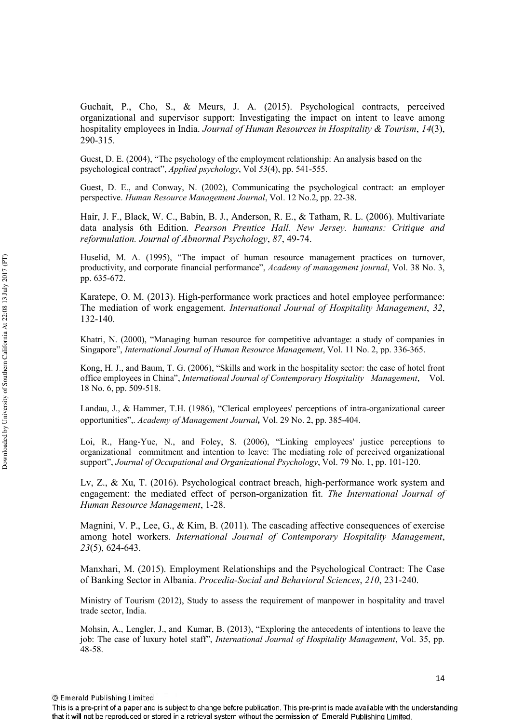Guchait, P., Cho, S., & Meurs, J. A. (2015). Psychological contracts, perceived organizational and supervisor support: Investigating the impact on intent to leave among hospitality employees in India. Journal of Human Resources in Hospitality & Tourism, 14(3), 290-315.

Guest, D. E. (2004), "The psychology of the employment relationship: An analysis based on the psychological contract", *Applied psychology*, Vol 53(4), pp. 541-555.

Guest, D. E., and Conway, N. (2002), Communicating the psychological contract: an employer perspective. Human Resource Management Journal, Vol. 12 No.2, pp. 22-38.

Hair, J. F., Black, W. C., Babin, B. J., Anderson, R. E., & Tatham, R. L. (2006). Multivariate data analysis 6th Edition. Pearson Prentice Hall. New Jersey. humans: Critique and reformulation. Journal of Abnormal Psychology, 87, 49-74.

Huselid, M. A. (1995), "The impact of human resource management practices on turnover, productivity, and corporate financial performance", Academy of management journal, Vol. 38 No. 3, pp. 635-672.

Karatepe, O. M. (2013). High-performance work practices and hotel employee performance: The mediation of work engagement. International Journal of Hospitality Management, 32, 132-140.

Khatri, N. (2000), "Managing human resource for competitive advantage: a study of companies in Singapore", International Journal of Human Resource Management, Vol. 11 No. 2, pp. 336-365.

Kong, H. J., and Baum, T. G. (2006), "Skills and work in the hospitality sector: the case of hotel front office employees in China", International Journal of Contemporary Hospitality Management, Vol. 18 No. 6, pp. 509-518.

Landau, J., & Hammer, T.H. (1986), "Clerical employees' perceptions of intra-organizational career opportunities"... Academy of Management Journal, Vol. 29 No. 2, pp. 385-404.

Loi, R., Hang-Yue, N., and Foley, S. (2006), "Linking employees' justice perceptions to organizational commitment and intention to leave: The mediating role of perceived organizational support", Journal of Occupational and Organizational Psychology, Vol. 79 No. 1, pp. 101-120.

Lv, Z., & Xu, T. (2016). Psychological contract breach, high-performance work system and engagement: the mediated effect of person-organization fit. The International Journal of Human Resource Management, 1-28.

Magnini, V. P., Lee, G., & Kim, B. (2011). The cascading affective consequences of exercise among hotel workers. International Journal of Contemporary Hospitality Management,  $23(5)$ , 624-643.

Manxhari, M. (2015). Employment Relationships and the Psychological Contract: The Case of Banking Sector in Albania. Procedia-Social and Behavioral Sciences, 210, 231-240.

Ministry of Tourism (2012). Study to assess the requirement of manpower in hospitality and travel trade sector, India.

Mohsin, A., Lengler, J., and Kumar, B. (2013), "Exploring the antecedents of intentions to leave the job: The case of luxury hotel staff", *International Journal of Hospitality Management*, Vol. 35, pp. 48-58.

© Emerald Publishing Limited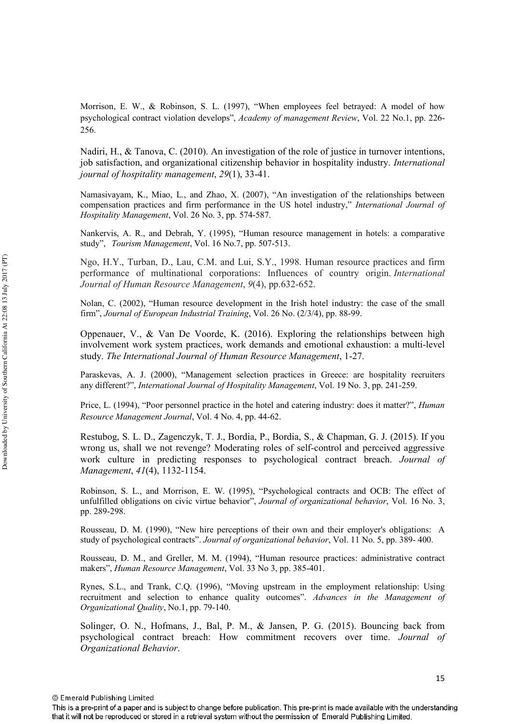Morrison, E. W., & Robinson, S. L. (1997), "When employees feel betrayed: A model of how psychological contract violation develops", Academy of management Review, Vol. 22 No.1, pp. 226-256.

Nadiri, H., & Tanova, C. (2010). An investigation of the role of justice in turnover intentions. job satisfaction, and organizational citizenship behavior in hospitality industry. International journal of hospitality management,  $29(1)$ , 33-41.

Namasiyayam, K., Miao, L., and Zhao, X. (2007). "An investigation of the relationships between compensation practices and firm performance in the US hotel industry," International Journal of Hospitality Management, Vol. 26 No. 3, pp. 574-587.

Nankervis, A. R., and Debrah, Y. (1995), "Human resource management in hotels: a comparative study", Tourism Management, Vol. 16 No.7, pp. 507-513.

Ngo, H.Y., Turban, D., Lau, C.M. and Lui, S.Y., 1998. Human resource practices and firm performance of multinational corporations: Influences of country origin. International Journal of Human Resource Management, 9(4), pp.632-652.

Nolan, C. (2002), "Human resource development in the Irish hotel industry: the case of the small firm", Journal of European Industrial Training, Vol. 26 No. (2/3/4), pp. 88-99.

Oppenauer, V., & Van De Voorde, K. (2016). Exploring the relationships between high involvement work system practices, work demands and emotional exhaustion: a multi-level study. The International Journal of Human Resource Management, 1-27.

Paraskevas, A. J. (2000), "Management selection practices in Greece: are hospitality recruiters any different?", International Journal of Hospitality Management, Vol. 19 No. 3, pp. 241-259.

Price, L. (1994), "Poor personnel practice in the hotel and catering industry: does it matter?", *Human* Resource Management Journal, Vol. 4 No. 4, pp. 44-62.

Restubog, S. L. D., Zagenczyk, T. J., Bordia, P., Bordia, S., & Chapman, G. J. (2015). If you wrong us, shall we not revenge? Moderating roles of self-control and perceived aggressive work culture in predicting responses to psychological contract breach. Journal of Management, 41(4), 1132-1154.

Robinson, S. L., and Morrison, E. W. (1995), "Psychological contracts and OCB: The effect of unfulfilled obligations on civic virtue behavior", Journal of organizational behavior, Vol. 16 No. 3, pp. 289-298.

Rousseau, D. M. (1990), "New hire perceptions of their own and their employer's obligations: A study of psychological contracts". Journal of organizational behavior, Vol. 11 No. 5, pp. 389-400.

Rousseau, D. M., and Greller, M. M. (1994), "Human resource practices: administrative contract makers", Human Resource Management, Vol. 33 No 3, pp. 385-401.

Rynes, S.L., and Trank, C.Q. (1996), "Moving upstream in the employment relationship: Using recruitment and selection to enhance quality outcomes". Advances in the Management of Organizational Quality, No.1, pp. 79-140.

Solinger, O. N., Hofmans, J., Bal, P. M., & Jansen, P. G. (2015). Bouncing back from psychological contract breach: How commitment recovers over time. Journal of Organizational Behavior.

© Emerald Publishing Limited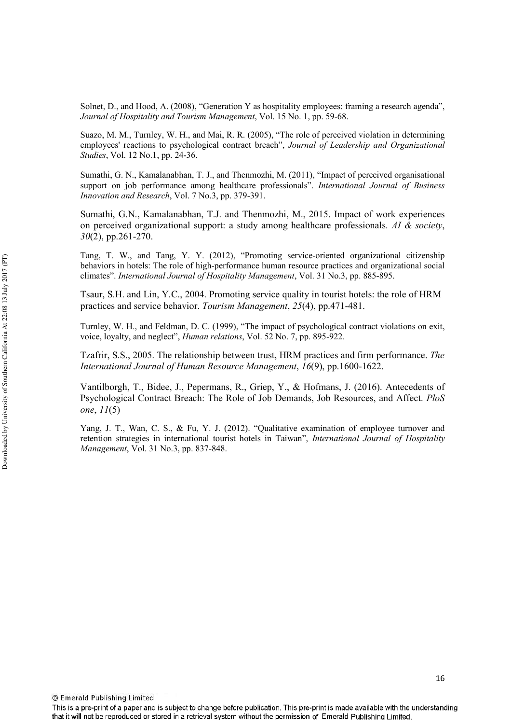Solnet, D., and Hood, A. (2008). "Generation Y as hospitality employees: framing a research agenda". Journal of Hospitality and Tourism Management, Vol. 15 No. 1, pp. 59-68.

Suazo, M. M., Turnley, W. H., and Mai, R. R. (2005), "The role of perceived violation in determining employees' reactions to psychological contract breach", Journal of Leadership and Organizational Studies, Vol. 12 No.1, pp. 24-36.

Sumathi, G. N., Kamalanabhan, T. J., and Thenmozhi, M. (2011), "Impact of perceived organisational support on job performance among healthcare professionals". International Journal of Business Innovation and Research, Vol. 7 No.3, pp. 379-391.

Sumathi, G.N., Kamalanabhan, T.J. and Thenmozhi, M., 2015. Impact of work experiences on perceived organizational support: a study among healthcare professionals. Al  $\&$  society,  $30(2)$ , pp.261-270.

Tang, T. W., and Tang, Y. Y. (2012), "Promoting service-oriented organizational citizenship behaviors in hotels: The role of high-performance human resource practices and organizational social climates". International Journal of Hospitality Management, Vol. 31 No.3, pp. 885-895.

Tsaur, S.H. and Lin, Y.C., 2004. Promoting service quality in tourist hotels: the role of HRM practices and service behavior. Tourism Management, 25(4), pp.471-481.

Turnley, W. H., and Feldman, D. C. (1999), "The impact of psychological contract violations on exit, voice, loyalty, and neglect", *Human relations*, Vol. 52 No. 7, pp. 895-922.

Tzafrir, S.S., 2005. The relationship between trust, HRM practices and firm performance. The International Journal of Human Resource Management, 16(9), pp.1600-1622.

Vantilborgh, T., Bidee, J., Pepermans, R., Griep, Y., & Hofmans, J. (2016). Antecedents of Psychological Contract Breach: The Role of Job Demands, Job Resources, and Affect. PloS one,  $11(5)$ 

Yang, J. T., Wan, C. S., & Fu, Y. J. (2012). "Qualitative examination of employee turnover and retention strategies in international tourist hotels in Taiwan", International Journal of Hospitality Management, Vol. 31 No.3, pp. 837-848.

© Emerald Publishing Limited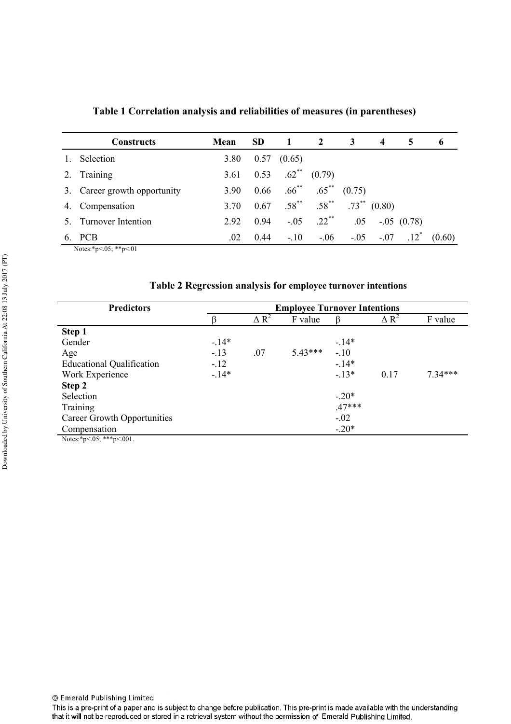|    | <b>Constructs</b>                                   | Mean | $SD \t1$ |                   | $\overline{\mathbf{2}}$                          | 3      | $\boldsymbol{4}$ | 5            | $\mathbf 0$ |
|----|-----------------------------------------------------|------|----------|-------------------|--------------------------------------------------|--------|------------------|--------------|-------------|
|    | Selection                                           | 3.80 | 0.57     | (0.65)            |                                                  |        |                  |              |             |
| 2. | Training                                            | 3.61 |          | $0.53$ $.62^{**}$ | (0.79)                                           |        |                  |              |             |
|    | 3. Career growth opportunity                        | 3.90 | 0.66     | $.66***$          | $.65***$                                         | (0.75) |                  |              |             |
| 4. | Compensation                                        | 3.70 |          |                   | $0.67$ $.58^{**}$ $.58^{**}$ $.73^{**}$ $(0.80)$ |        |                  |              |             |
| 5  | Turnover Intention                                  | 2.92 | 0.94     |                   | $-.05 \t .22$ <sup>**</sup>                      | .05    |                  | $-.05(0.78)$ |             |
|    | 6. PCB                                              | .02  | 0.44     |                   | $-.10$ $-.06$ $-.05$ $-.07$ $.12^*$              |        |                  |              | (0.60)      |
|    | $N_{\text{of}}$ $*_{n}$ $\leq$ 05 $*_{n}$ $\leq$ 01 |      |          |                   |                                                  |        |                  |              |             |

Table 1 Correlation analysis and reliabilities of measures (in parentheses)

Notes:\*p<.05; \*\*p<.01

## Table 2 Regression analysis for employee turnover intentions

| <b>Predictors</b>                | <b>Employee Turnover Intentions</b> |              |           |          |                         |           |
|----------------------------------|-------------------------------------|--------------|-----------|----------|-------------------------|-----------|
|                                  |                                     | $\Delta R^2$ | F value   |          | $\Delta$ R <sup>2</sup> | F value   |
| Step 1                           |                                     |              |           |          |                         |           |
| Gender                           | $-14*$                              |              |           | $-14*$   |                         |           |
| Age                              | $-.13$                              | .07          | $5.43***$ | $-.10$   |                         |           |
| <b>Educational Qualification</b> | $-12$                               |              |           | $-14*$   |                         |           |
| Work Experience                  | $-14*$                              |              |           | $-13*$   | 0.17                    | $7.34***$ |
| Step 2                           |                                     |              |           |          |                         |           |
| Selection                        |                                     |              |           | $-.20*$  |                         |           |
| Training                         |                                     |              |           | $.47***$ |                         |           |
| Career Growth Opportunities      |                                     |              |           | $-.02$   |                         |           |
| Compensation                     |                                     |              |           | $-.20*$  |                         |           |

Notes:\*p<.05; \*\*\*p<.001.

This is a pre-print of a paper and is subject to change before publication. This pre-print is made available with the understanding that it will not be reproduced or stored in a retrieval system without the permission of Emerald Publishing Limited.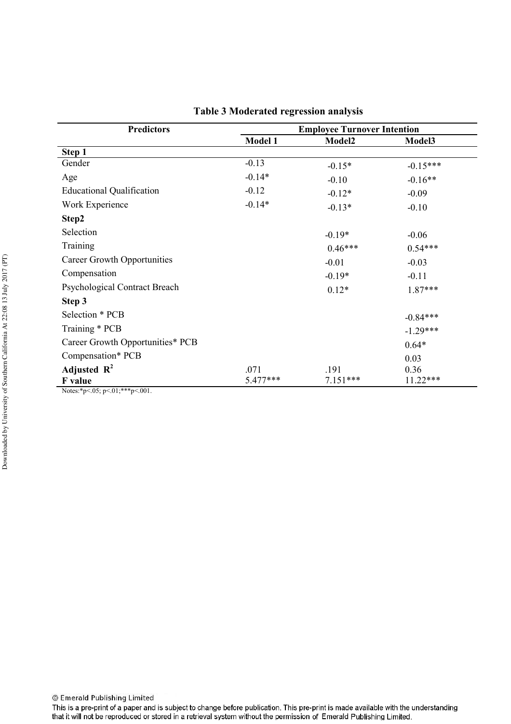| <b>Predictors</b>                  | <b>Employee Turnover Intention</b> |            |            |  |  |  |  |
|------------------------------------|------------------------------------|------------|------------|--|--|--|--|
|                                    | <b>Model 1</b>                     | Model2     | Model3     |  |  |  |  |
| Step 1                             |                                    |            |            |  |  |  |  |
| Gender                             | $-0.13$                            | $-0.15*$   | $-0.15***$ |  |  |  |  |
| Age                                | $-0.14*$                           | $-0.10$    | $-0.16**$  |  |  |  |  |
| <b>Educational Qualification</b>   | $-0.12$                            | $-0.12*$   | $-0.09$    |  |  |  |  |
| Work Experience                    | $-0.14*$                           | $-0.13*$   | $-0.10$    |  |  |  |  |
| Step2                              |                                    |            |            |  |  |  |  |
| Selection                          |                                    | $-0.19*$   | $-0.06$    |  |  |  |  |
| Training                           |                                    | $0.46***$  | $0.54***$  |  |  |  |  |
| <b>Career Growth Opportunities</b> |                                    | $-0.01$    | $-0.03$    |  |  |  |  |
| Compensation                       |                                    | $-0.19*$   | $-0.11$    |  |  |  |  |
| Psychological Contract Breach      |                                    | $0.12*$    | $1.87***$  |  |  |  |  |
| Step 3                             |                                    |            |            |  |  |  |  |
| Selection * PCB                    |                                    |            | $-0.84***$ |  |  |  |  |
| Training * PCB                     |                                    |            | $-1.29***$ |  |  |  |  |
| Career Growth Opportunities* PCB   |                                    |            | $0.64*$    |  |  |  |  |
| Compensation* PCB                  |                                    |            | 0.03       |  |  |  |  |
| Adjusted $\mathbb{R}^2$            | .071                               | .191       | 0.36       |  |  |  |  |
| <b>F</b> value                     | $5.477***$                         | $7.151***$ | $11.22***$ |  |  |  |  |

## Table 3 Moderated regression analysis

Notes:\*p<.05; p<.01;\*\*\*p<.001.

This is a pre-print of a paper and is subject to change before publication. This pre-print is made available with the understanding that it will not be reproduced or stored in a retrieval system without the permission of Emerald Publishing Limited.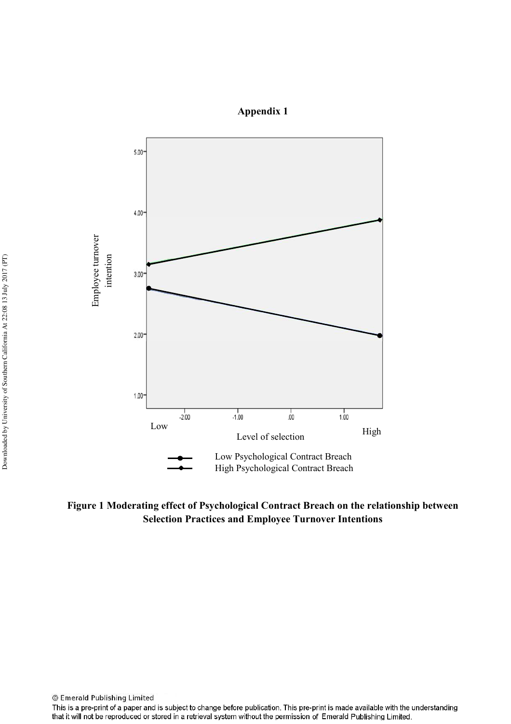



Figure 1 Moderating effect of Psychological Contract Breach on the relationship between **Selection Practices and Employee Turnover Intentions** 

This is a pre-print of a paper and is subject to change before publication. This pre-print is made available with the understanding that it will not be reproduced or stored in a retrieval system without the permission of Emerald Publishing Limited.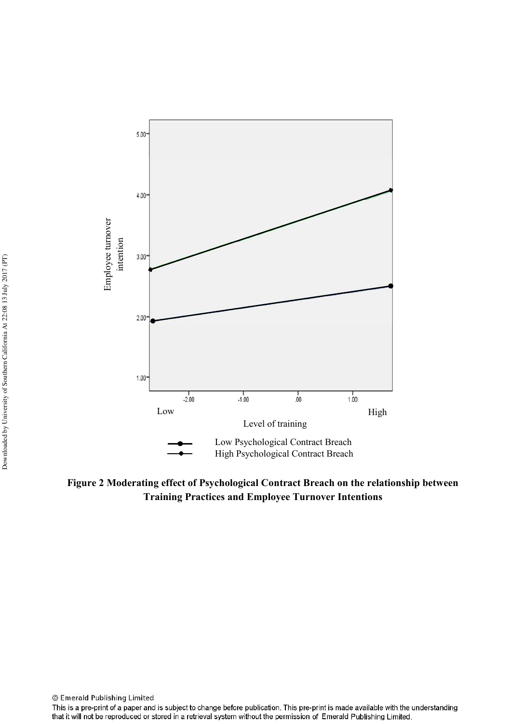

Figure 2 Moderating effect of Psychological Contract Breach on the relationship between **Training Practices and Employee Turnover Intentions** 

This is a pre-print of a paper and is subject to change before publication. This pre-print is made available with the understanding that it will not be reproduced or stored in a retrieval system without the permission of Emerald Publishing Limited.